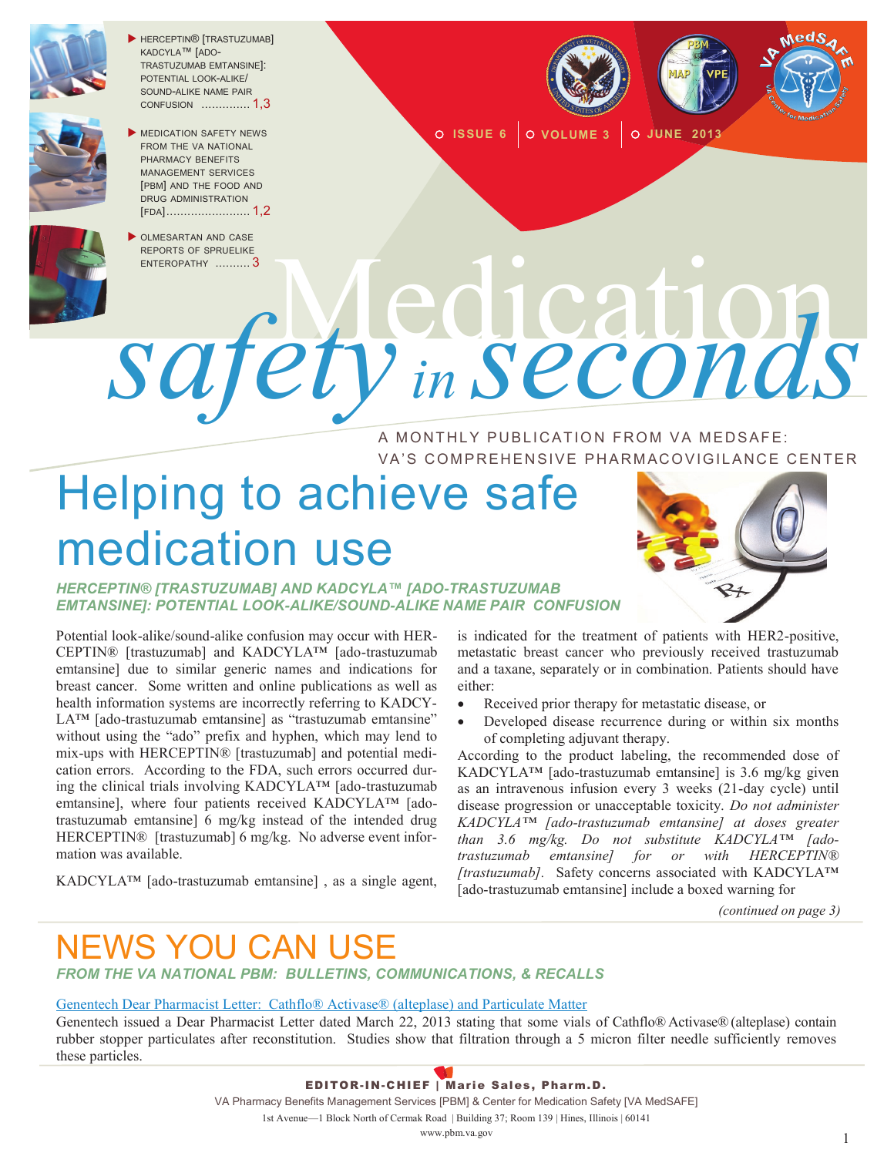

**HERCEPTIN®** [TRASTUZUMAB] KADCYLA™ [ADO-TRASTUZUMAB EMTANSINE]: POTENTIAL LOOK-ALIKE/ SOUND-ALIKE NAME PAIR CONFUSION .............. 1,3



FROM THE VA NATIONAL PHARMACY BENEFITS MANAGEMENT SERVICES [PBM] AND THE FOOD AND DRUG ADMINISTRATION [FDA]........................ 1,2



**INEDICATION SAFETY NEWS ISSUE 6 O ISSUE 6 O VOLUME 3 O JUNE 2013** 



REPORTS OF SPRUELIKE REPORTS OF SPRUELIKE *safety in seconds* A MONTHLY PUBLICATION FROM VA MEDSAFE:

VA'S COMPREHENSIVE PHARMACOVIGILANCE CENTER

# Helping to achieve safe medication use

*HERCEPTIN® [TRASTUZUMAB] AND KADCYLA™ [ADO-TRASTUZUMAB EMTANSINE]: POTENTIAL LOOK-ALIKE/SOUND-ALIKE NAME PAIR CONFUSION*

Potential look-alike/sound-alike confusion may occur with HER-CEPTIN® [trastuzumab] and KADCYLA™ [ado-trastuzumab emtansine] due to similar generic names and indications for breast cancer. Some written and online publications as well as health information systems are incorrectly referring to KADCY-LA™ [ado-trastuzumab emtansine] as "trastuzumab emtansine" without using the "ado" prefix and hyphen, which may lend to mix-ups with HERCEPTIN® [trastuzumab] and potential medication errors. According to the FDA, such errors occurred during the clinical trials involving KADCYLA™ [ado-trastuzumab emtansine], where four patients received KADCYLA™ [adotrastuzumab emtansine] 6 mg/kg instead of the intended drug HERCEPTIN® [trastuzumab] 6 mg/kg. No adverse event information was available.

KADCYLA™ [ado-trastuzumab emtansine] , as a single agent,



is indicated for the treatment of patients with HER2-positive, metastatic breast cancer who previously received trastuzumab and a taxane, separately or in combination. Patients should have either:

- Received prior therapy for metastatic disease, or
- Developed disease recurrence during or within six months of completing adjuvant therapy.

According to the product labeling, the recommended dose of KADCYLA™ [ado-trastuzumab emtansine] is 3.6 mg/kg given as an intravenous infusion every 3 weeks (21-day cycle) until disease progression or unacceptable toxicity. *Do not administer KADCYLA™ [ado-trastuzumab emtansine] at doses greater than 3.6 mg/kg. Do not substitute KADCYLA™ [adotrastuzumab emtansine] for or with HERCEPTIN® [trastuzumab].* Safety concerns associated with KADCYLA™ [ado-trastuzumab emtansine] include a boxed warning for

*(continued on page 3)*

### NEWS YOU CAN USE *FROM THE VA NATIONAL PBM: BULLETINS, COMMUNICATIONS, & RECALLS*

#### [Genentech Dear Pharmacist Letter: Cathflo® Activase® \(alteplase\) and Particulate Matter](http://www.fda.gov/downloads/Drugs/DrugSafety/DrugShortages/UCM345194.pdf)

Genentech issued a Dear Pharmacist Letter dated March 22, 2013 stating that some vials of Cathflo® Activase®(alteplase) contain rubber stopper particulates after reconstitution. Studies show that filtration through a 5 micron filter needle sufficiently removes these particles.



VA Pharmacy Benefits Management Services [PBM] & Center for Medication Safety [VA MedSAFE]

1st Avenue—1 Block North of Cermak Road | Building 37; Room 139 | Hines, Illinois | 60141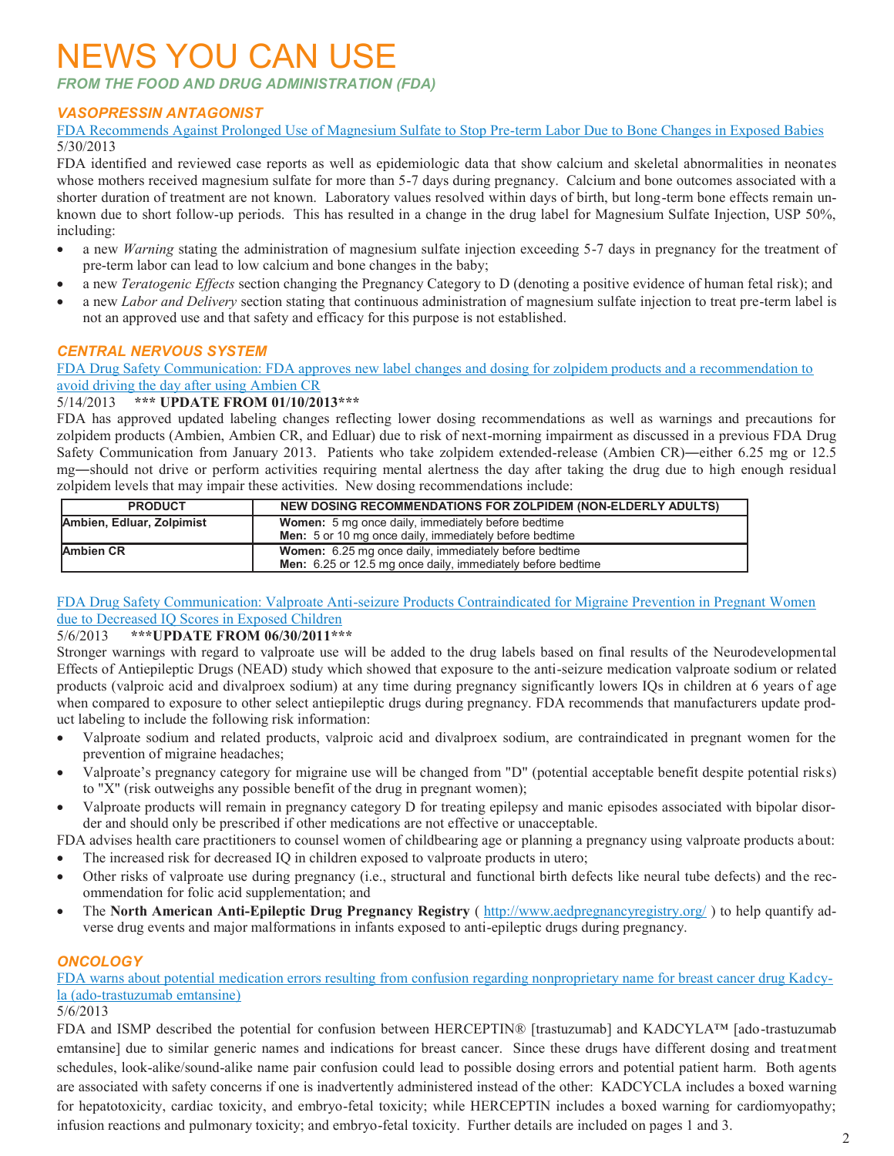## NEWS YOU CAN USE

*FROM THE FOOD AND DRUG ADMINISTRATION (FDA)*

#### *VASOPRESSIN ANTAGONIST*

#### [FDA Recommends Against Prolonged Use of Magnesium Sulfate to Stop Pre](http://www.fda.gov/Drugs/DrugSafety/ucm353333.htm)-term Labor Due to Bone Changes in Exposed Babies 5/30/2013

FDA identified and reviewed case reports as well as epidemiologic data that show calcium and skeletal abnormalities in neonates whose mothers received magnesium sulfate for more than 5-7 days during pregnancy. Calcium and bone outcomes associated with a shorter duration of treatment are not known. Laboratory values resolved within days of birth, but long-term bone effects remain unknown due to short follow-up periods. This has resulted in a change in the drug label for Magnesium Sulfate Injection, USP 50%, including:

- a new *Warning* stating the administration of magnesium sulfate injection exceeding 5-7 days in pregnancy for the treatment of pre-term labor can lead to low calcium and bone changes in the baby;
- a new *Teratogenic Effects* section changing the Pregnancy Category to D (denoting a positive evidence of human fetal risk); and
- a new *Labor and Delivery* section stating that continuous administration of magnesium sulfate injection to treat pre-term label is not an approved use and that safety and efficacy for this purpose is not established.

#### *CENTRAL NERVOUS SYSTEM*

[FDA Drug Safety Communication: FDA approves new label changes and dosing for zolpidem products and a recommendation to](http://www.fda.gov/Drugs/DrugSafety/ucm352085.htm)  [avoid driving the day after using Ambien CR](http://www.fda.gov/Drugs/DrugSafety/ucm352085.htm)

#### 5/14/2013 **\*\*\* UPDATE FROM 01/10/2013\*\*\***

FDA has approved updated labeling changes reflecting lower dosing recommendations as well as warnings and precautions for zolpidem products (Ambien, Ambien CR, and Edluar) due to risk of next-morning impairment as discussed in a previous FDA Drug Safety Communication from January 2013. Patients who take zolpidem extended-release (Ambien CR)―either 6.25 mg or 12.5 mg―should not drive or perform activities requiring mental alertness the day after taking the drug due to high enough residual zolpidem levels that may impair these activities. New dosing recommendations include:

| <b>PRODUCT</b>            | <b>NEW DOSING RECOMMENDATIONS FOR ZOLPIDEM (NON-ELDERLY ADULTS)</b> |
|---------------------------|---------------------------------------------------------------------|
| Ambien, Edluar, Zolpimist | <b>Women:</b> 5 mg once daily, immediately before bedtime           |
|                           | <b>Men:</b> 5 or 10 mg once daily, immediately before bedtime       |
| <b>Ambien CR</b>          | <b>Women:</b> 6.25 mg once daily, immediately before bedtime        |
|                           | <b>Men:</b> 6.25 or 12.5 mg once daily, immediately before bedtime  |

#### FDA Drug Safety Communication: Valproate Anti-[seizure Products Contraindicated for Migraine Prevention in Pregnant Women](http://www.fda.gov/Drugs/DrugSafety/ucm350684.htm)  [due to Decreased IQ Scores in Exposed Children](http://www.fda.gov/Drugs/DrugSafety/ucm350684.htm)

#### 5/6/2013 **\*\*\*UPDATE FROM 06/30/2011\*\*\***

Stronger warnings with regard to valproate use will be added to the drug labels based on final results of the Neurodevelopmental Effects of Antiepileptic Drugs (NEAD) study which showed that exposure to the anti-seizure medication valproate sodium or related products (valproic acid and divalproex sodium) at any time during pregnancy significantly lowers IQs in children at 6 years of age when compared to exposure to other select antiepileptic drugs during pregnancy. FDA recommends that manufacturers update product labeling to include the following risk information:

- Valproate sodium and related products, valproic acid and divalproex sodium, are contraindicated in pregnant women for the prevention of migraine headaches;
- Valproate's pregnancy category for migraine use will be changed from "D" (potential acceptable benefit despite potential risks) to "X" (risk outweighs any possible benefit of the drug in pregnant women);
- Valproate products will remain in pregnancy category D for treating epilepsy and manic episodes associated with bipolar disorder and should only be prescribed if other medications are not effective or unacceptable.

FDA advises health care practitioners to counsel women of childbearing age or planning a pregnancy using valproate products about: • The increased risk for decreased IQ in children exposed to valproate products in utero;

- Other risks of valproate use during pregnancy (i.e., structural and functional birth defects like neural tube defects) and the recommendation for folic acid supplementation; and
- The **North American Anti-Epileptic Drug Pregnancy Registry** ( <http://www.aedpregnancyregistry.org/> ) to help quantify adverse drug events and major malformations in infants exposed to anti-epileptic drugs during pregnancy.

#### *ONCOLOGY*

[FDA warns about potential medication errors resulting from confusion regarding nonproprietary name for breast cancer drug Kadcy](http://www.fda.gov/Drugs/DrugSafety/ucm350733.htm)la (ado-[trastuzumab emtansine\)](http://www.fda.gov/Drugs/DrugSafety/ucm350733.htm)

#### 5/6/2013

FDA and ISMP described the potential for confusion between HERCEPTIN® [trastuzumab] and KADCYLA™ [ado-trastuzumab emtansine] due to similar generic names and indications for breast cancer. Since these drugs have different dosing and treatment schedules, look-alike/sound-alike name pair confusion could lead to possible dosing errors and potential patient harm. Both agents are associated with safety concerns if one is inadvertently administered instead of the other: KADCYCLA includes a boxed warning for hepatotoxicity, cardiac toxicity, and embryo-fetal toxicity; while HERCEPTIN includes a boxed warning for cardiomyopathy; infusion reactions and pulmonary toxicity; and embryo-fetal toxicity. Further details are included on pages 1 and 3.